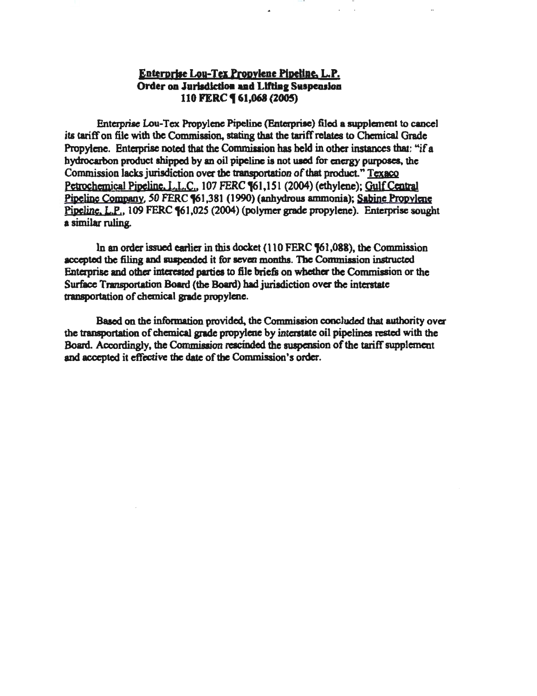#### Enterprise Lou-Tex Propylene Pipeline, L.P. Order on Jurisdiction and Lifting Suspension 110 FERC **161,068 (2005)**

Enterprise Lou-Tex Propylene Pipeline (Enterprise) filed a supplement to cancel its tariff on file with the Commission, staring that the tariff relates to Chemical Grade Propylene. Enterprise noted that the Commission has held in other instances that: "if a hydrocarbon product shipped by an oil pipeline is not used for energy purposes, the Commission lacks jurisdiction over the transportation of that product." Texaco Petrochemical Pipeline, L.L.C., 107 FERC  $\P61,151$  (2004) (ethylene); Gulf Central Pipeline Company, 50 FERC [61,381 (1990) (anhydrous ammonia); Sabine Propylene Pipeline. L.P., 109 FERC  $\text{\$61,025}$  (2004) (polymer grade propylene). Enterprise sought a similar ruling.

In an order issued earlier in this docket  $(110$  FERC  $$61,088$ ), the Commission accepted the filing and suspended it for seven months. The Commission instructed Enterprise and other interested parties to file briefs on whether the Commission or the Surface Transportation Board (the Board) had jurisdiction over the interstate transportation of chemical grade propylene.

Based on the information provided, the Commission concluded that authority over the transportation of chemical grade propylene by interstate oil pipelines rested with the Board. Accordingly, the Commission rescinded the suspension of the tariff supplement and accepted it effective the date of the Commission's order.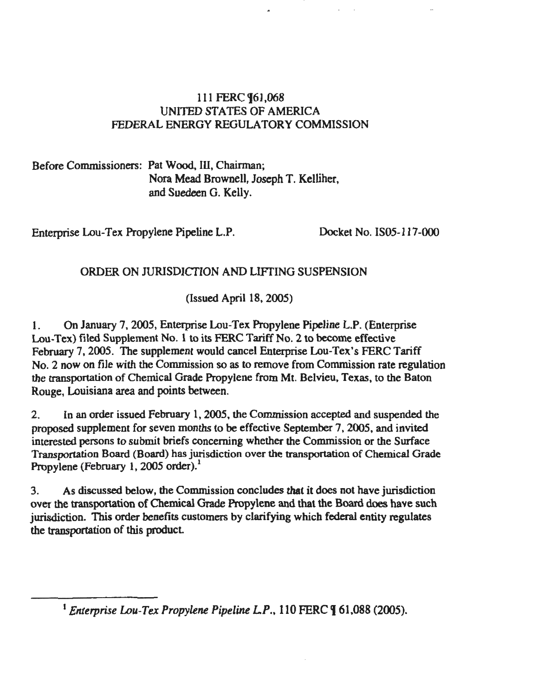### 111 FERC **[61,068** UNITED STATES OF AMERICA FEDERAL ENERGY REGULATORY COMMISSION

Before Commissioners: Pat Wood, III, Chairman; Nora Mead Brownell, Joseph T. Kelliher, and Suedeen G. Kelly.

Enterprise Lou-Tex Propylene Pipeline L.P. Docket No. IS05-117 -000

# ORDER ON JURISDICTION AND LIFTING SUSPENSION

(Issued April 18, 2005)

1. On January 7, 2005, Enterprise Lou-Tex Propylene Pipeline L.P. (Enterprise Lou·Tex) filed Supplement No. 1 to its FERC Tariff No.2 to become effective February 7, 2005. The supplement would cancel Enterprise Lou-Tex's FERC Tariff No. 2 now on file with the Commission so as to remove from Commission rate regulation the transportation of Chemical Grade Propylene from Mt. Belvieu, Texas, to the Baton Rouge, Louisiana area and points between.

2. In an order issued February 1, 2005. the Commission accepted and suspended the proposed supplement for seven months to be effective September 7, 2005, and invited interested persons to submit briefs concerning whether the Commission or the Surface Transportation Board (Board) has jurisdiction over the transportation of Chemical Grade Propylene (February 1, 2005 order).<sup>1</sup>

3. As discussed below, the Commission concludes that it does not have jurisdiction over the transportation of Chemical Grade Propylene and that the Board does have such jurisdiction. This order benefits customers by clarifying which federal entity regulates the transportation of this product

<sup>&</sup>lt;sup>1</sup> Enterprise Lou-Tex Propylene Pipeline L.P., 110 FERC **[61,088 (2005)**.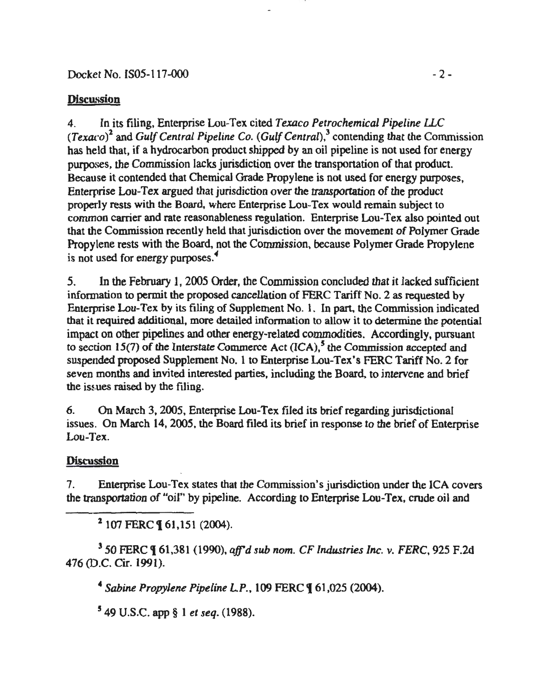### Docket No. IS05-117-000 - 2 -

### **Discussion**

4. In its filing, Enterprise Lou-Tex cited *Texaco Petrochemical Pipeline ILC (Texaco)*<sup>2</sup>and *Gulf Central Pipeline* Co. *(GulfCentral),*<sup>3</sup>contending that the Commission has held that, if a hydrocarbon product shipped by an oil pipeline is not used for energy purposes, the Commission lacks jurisdiction over the transportation of that product. Because it contended that Chemical Grade Propylene is not used for energy purposes, Enterprise Lou-Tex argued that jurisdiction over the transportation of the product properly rests with the Board, where Enterprise Lou-Tex would remain subject to common carrier and rate reasonableness regulation. Enterprise Lou-Tex also pointed out that the Commission recently held that jurisdiction over the movement of Polymer Grade Propylene rests with the Board, not the Commission, because Polymer Grade Propylene is not used for energy purposes. *<sup>4</sup>*

*5.* In the February 1, 2005 Order, the Commission concluded that it lacked sufficient information to permit the proposed cancellation of FERC Tariff No. 2 as requested by Enterprise Lou-Tex by its filing of Supplement No. 1. In part, the Commission indicated that it required additional, more detailed information to allow it to determine the potential impact on other pipelines and other energy-related commodities. Accordingly, pursuant to section 15(7) of the Interstate Commerce Act (ICA),<sup>5</sup> the Commission accepted and suspended proposed Supplement No.1 to Enterprise Lou-Tex's FERC Tariff No.2 for seven months and invited interested parties, including the Board, to intervene and brief the issues raised by the filing.

6. On March 3, 2005, Enterprise Lou-Tex filed its brief regarding jurisdictional issues. On March 14, 2005, the Board filed its brief in response to the brief of Enterprise Lou-Tex.

# **Discussion**

7. Enterprise Lou-Tex states that the Commission's jurisdiction under the lCA covers the transportation of "oil" by pipeline. According to Enterprise Lou-Tex, crude oil and

 $2$  107 FERC **[61,151 (2004).** 

<sup>3</sup>*50* FERC 161,381 (1990), *affd sub nom. CF Industries Inc. v. FERC,* 925 F.2d 476 (D.C. Cir. 1991).

<sup>4</sup> Sabine Propylene Pipeline L.P., 109 FERC ¶ 61,025 (2004).

5 49 U.S.C. app § 1 *et seq.* (1988).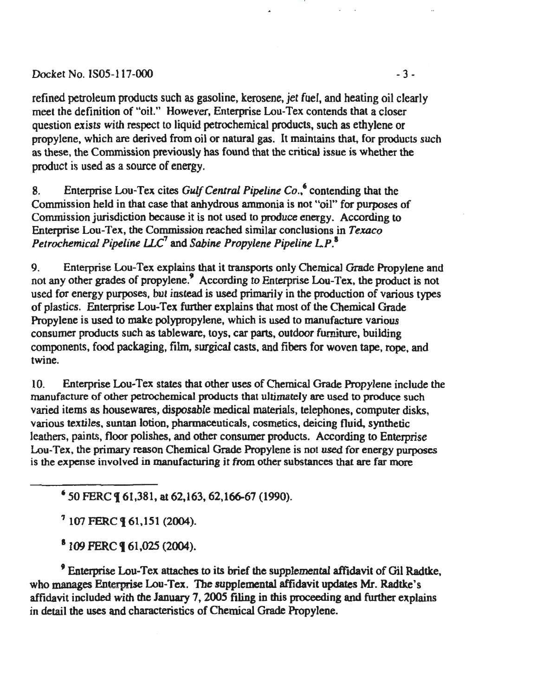#### Docket No. IS05-117-000 -3-

refined petroleum products such as gasoline, kerosene, jet fuel, and heating oil clearly meet the definition of "oil." However, Enterprise Lou-Tex contends that a closer question exists with respect to liquid petrochemical products, such as ethylene or propylene, which are derived from oil or natural gas. It maintains that, for products such as these, the Commission previously has found that the critical issue is whether the product is used as a source of energy.

8. Enterprise Lou-Tex cites *Gulf Central Pipeline Co*.,<sup>6</sup> contending that the Commission held in that case that anhydrous ammonia is not "oil" for purposes of Commission jurisdiction because it is not used to produce energy. According to Enterprise Lou-Tex, the Commission reached similar conclusions in *Texaco Petrochemical Pipeline ILC*<sup>1</sup>and *Sabine Propylene Pipeline LP.* <sup>1</sup>

9. Enterprise Lou-Tex explains that it transports only Chemical Grade Propylene and not any other grades of propylene.' According to Enterprise Lou-Tex, the product is not used for energy purposes, but instead is used primarily in the production of various types of plastics. Enterprise Lou-Tex further explains that most of the Chemical Grade Propylene is used to make polypropylene, which is used to manufacture various consumer products such as tableware, toys, car parts, outdoor furniture, building components, food packaging, film, surgical casts, and fibers for woven tape, rope. and twine.

10. Enterprise Lou-Tex states that other uses of Chemical Grade Propylene include the manufacture of other petrochemical products that ultimately are used to produce such varied items as housewares, disposable medical materials, telephones, computer disks, various textiles. suntan lotion, pharmaceuticals, cosmetics, deicing fluid, synthetic leathers, paints, floor polishes, and other consumer products. According to Enterprise Lou-Tex, the primary reason Chemical Grade Propylene is not used for energy purposes is the expense involved in manufacturing it from other substances that are far more

'50 FERC t 61,381, at 62,163,62,166-67 (1990).

 $7107$  FERC  $961.151(2004)$ .

 $5109$  FERC **9** 61,025 (2004).

<sup>9</sup>Enterprise Lou-Tex attaches to its brief the supplemental affidavit of Gil Radtke, who manages Enterprise Lou-Tex. The supplemental affidavit updates Mr. Radtke's affidavit included with the January 7, 2005 filing in this proceeding and further explains in detail the uses and characteristics of Chemical Grade Propylene.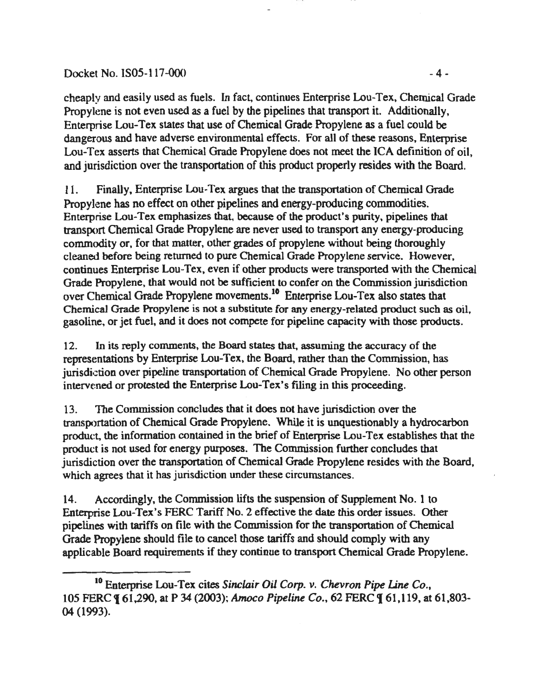#### Docket No. IS05-117-000 - 4 -

cheaply and easily used as fuels. In fact, continues Enterprise Lou-Tex, Chemical Grade Propylene is not even used as a fuel by the pipelines that transport it. Additionally. Enterprise Lou-Tex states that use of Chemical Grade Propylene as a fuel could be dangerous and have adverse environmental effects. For all of these reasons, Enterprise Lou-Tex asserts that Chemical Grade Propylene does not meet the ICA definition of oil, and jurisdiction over the transportation of this product properly resides with the Board.

11. Finally, Enterprise Lou-Tex argues that the transportation of Chemical Grade Propylene has no effect on other pipelines and energy-producing commodities. Enterprise Lou-Tex emphasizes that, because of the product's purity, pipelines that transport Chemical Grade Propylene are never used to transport any energy-producing commodity or, for that matter, other grades of propylene without being thoroughly cleaned before being returned to pure Chemical Grade Propylene service. However, continues Enterprise Lou-Tex, even if other products were transported with the Chemical Grade Propylene, that would not be sufficient to confer on the Commission jurisdiction over Chemical Grade Propylene movements.10 Enterprise Lou-Tex also states that Chemical Grade Propylene is not a substitute for any energy-related product such as oil. gasoline, or jet fuel, and it does not compete for pipeline capacity with those products.

12. In its reply comments, the Board states that, assuming the accuracy of the representations by Enterprise Lou-Tex, the Board, rather than the Commission, has jurisdiction over pipeline transportation of Chemical Grade Propylene. No other person intervened or protested the Enterprise Lou-Tex's filing in this proceeding.

13. The Commission concludes that it does not have jurisdiction over the transportation of Chemical Grade Propylene. While it is unquestionably a hydrocarbon product, the information contained in the brief of Enterprise Lou-Tex establishes that the product is not used for energy purposes. The Commission further concludes that jurisdiction over the transportation of Chemical Grade Propylene resides with the Board. which agrees that it has jurisdiction under these circumstances.

14. Accordingly, the Commission lifts the suspension of Supplement No.1 to Enterprise Lou-Tex's FERC Tariff No.2 effective the date this order issues. Other pipelines with tariffs on file with the Commission for the transportation of Chemical Grade Propylene should file to cancel those tariffs and should comply with any applicable Board requirements if they continue to transport Chemical Grade Propylene.

<sup>&</sup>lt;sup>10</sup> Enterprise Lou-Tex cites *Sinclair Oil Corp. v. Chevron Pipe Line Co.*, 105 FERC 1 61,290, at P 34 (2003 ); *Amoco Pipeline Co.,* 62 PERC 1 61.119, at 61,803- 04 (1993).